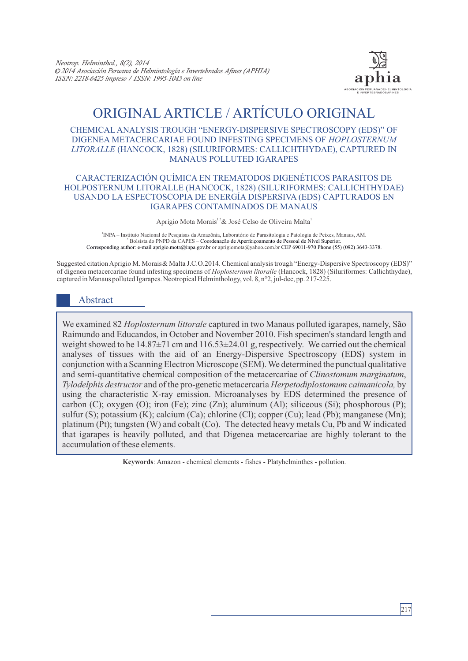

# ORIGINAL ARTICLE / ARTÍCULO ORIGINAL

#### CHEMICAL ANALYSIS TROUGH "ENERGY-DISPERSIVE SPECTROSCOPY (EDS)" OF DIGENEA METACERCARIAE FOUND INFESTING SPECIMENS OF *HOPLOSTERNUM LITORALLE* (HANCOCK, 1828) (SILURIFORMES: CALLICHTHYDAE), CAPTURED IN MANAUS POLLUTED IGARAPES

#### CARACTERIZACIÓN QUÍMICA EN TREMATODOS DIGENÉTICOS PARASITOS DE HOLPOSTERNUM LITORALLE (HANCOCK, 1828) (SILURIFORMES: CALLICHTHYDAE) USANDO LA ESPECTOSCOPIA DE ENERGÍA DISPERSIVA (EDS) CAPTURADOS EN IGARAPES CONTAMINADOS DE MANAUS

Aprigio Mota Morais<sup>1,2</sup> & José Celso de Oliveira Malta<sup>1</sup>

<sup>1</sup>INPA – Instituto Nacional de Pesquisas da Amazônia, Laboratório de Parasitologia e Patologia de Peixes, Manaus, AM. Bolsista do PNPD da CAPES – Coordenação de Aperfeiçoamento de Pessoal de Nível Superior. Corresponding author: e-mail aprigio.mota@inpa.gov.br or aprigiomota@yahoo.com.br CEP 69011-970 Phone (55) (092) 3643-3378.

Suggested citation Aprigio M. Morais& Malta J.C.O.2014. Chemical analysis trough "Energy-Dispersive Spectroscopy (EDS)" of digenea metacercariae found infesting specimens of *Hoplosternum litoralle* (Hancock, 1828) (Siluriformes: Callichthydae), captured in Manaus polluted Igarapes. Neotropical Helminthology, vol. 8, n°2, jul-dec, pp. 217-225.

## Abstract

We examined 82 *Hoplosternum littorale* captured in two Manaus polluted igarapes, namely, São Raimundo and Educandos, in October and November 2010. Fish specimen's standard length and weight showed to be 14.87±71 cm and 116.53±24.01 g, respectively. We carried out the chemical analyses of tissues with the aid of an Energy-Dispersive Spectroscopy (EDS) system in conjunction with a Scanning Electron Microscope (SEM). We determined the punctual qualitative and semi-quantitative chemical composition of the metacercariae of *Clinostomum marginatum*, *Tylodelphis destructor* and of the pro-genetic metacercaria *Herpetodiplostomum caimanicola,* by using the characteristic X-ray emission. Microanalyses by EDS determined the presence of carbon (C); oxygen (O); iron (Fe); zinc (Zn); aluminum (Al); siliceous (Si); phosphorous (P); sulfur (S); potassium (K); calcium (Ca); chlorine (Cl); copper (Cu); lead (Pb); manganese (Mn); platinum (Pt); tungsten (W) and cobalt (Co). The detected heavy metals Cu, Pb and W indicated that igarapes is heavily polluted, and that Digenea metacercariae are highly tolerant to the accumulation of these elements.

**Keywords**: Amazon - chemical elements - fishes - Platyhelminthes - pollution.

217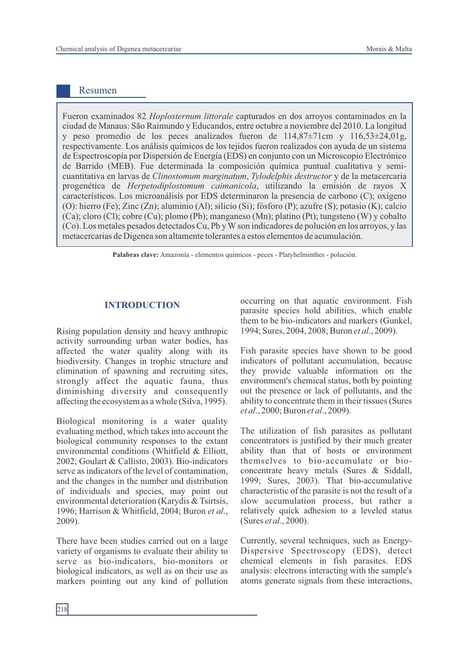## Resumen

Fueron examinados 82 *Hoplosternum littorale* capturados en dos arroyos contaminados en la ciudad de Manaus: São Raimundo y Educandos, entre octubre a noviembre del 2010. La longitud y peso promedio de los peces analizados fueron de 114,87±71cm y 116,53±24,01g, respectivamente. Los análisis químicos de los tejidos fueron realizados con ayuda de un sistema de Espectroscopía por Dispersión de Energía (EDS) en conjunto con un Microscopio Electrónico de Barrido (MEB). Fue determinada la composición química puntual cualitativa y semicuantitativa en larvas de *Clinostomum marginatum*, *Tylodelphis destructor* y de la metacercaria progenética de *Herpetodiplostomum caimanicola*, utilizando la emisión de rayos X característicos. Los microanálisis por EDS determinaron la presencia de carbono (C); oxígeno (O): hierro (Fe); Zinc (Zn); aluminio (Al); silicio (Si); fósforo (P); azufre (S); potasio (K); calcio (Ca); cloro (Cl); cobre (Cu); plomo (Pb); manganeso (Mn); platino (Pt); tungsteno (W) y cobalto (Co). Los metales pesados detectados Cu, Pb y Wson indicadores de polución en los arroyos, y las metacercarias de Digenea son altamente tolerantes a estos elementos de acumulación.

**Palabras clave:** Amazonía - elementos químicos - peces - Platyhelminthes - polución.

## **INTRODUCTION**

Rising population density and heavy anthropic activity surrounding urban water bodies, has affected the water quality along with its biodiversity. Changes in trophic structure and elimination of spawning and recruiting sites, strongly affect the aquatic fauna, thus diminishing diversity and consequently affecting the ecosystem as a whole (Silva, 1995).

Biological monitoring is a water quality evaluating method, which takes into account the biological community responses to the extant environmental conditions (Whitfield & Elliott, 2002; Goulart & Callisto, 2003). Bio-indicators serve as indicators of the level of contamination, and the changes in the number and distribution of individuals and species, may point out environmental deterioration (Karydis & Tsirtsis, 1996; Harrison & Whitfield, 2004; Buron *et al*., 2009).

There have been studies carried out on a large variety of organisms to evaluate their ability to serve as bio-indicators, bio-monitors or biological indicators, as well as on their use as markers pointing out any kind of pollution occurring on that aquatic environment. Fish parasite species hold abilities, which enable them to be bio-indicators and markers (Gunkel, 1994; Sures, 2004, 2008; Buron *et al*., 2009).

Fish parasite species have shown to be good indicators of pollutant accumulation, because they provide valuable information on the environment's chemical status, both by pointing out the presence or lack of pollutants, and the ability to concentrate them in their tissues (Sures *et al*., 2000; Buron *et al*., 2009).

The utilization of fish parasites as pollutant concentrators is justified by their much greater ability than that of hosts or environment themselves to bio-accumulate or bioconcentrate heavy metals (Sures & Siddall, 1999; Sures, 2003). That bio-accumulative characteristic of the parasite is not the result of a slow accumulation process, but rather a relatively quick adhesion to a leveled status (Sures *et al*., 2000).

Currently, several techniques, such as Energy-Dispersive Spectroscopy (EDS), detect chemical elements in fish parasites. EDS analysis: electrons interacting with the sample's atoms generate signals from these interactions,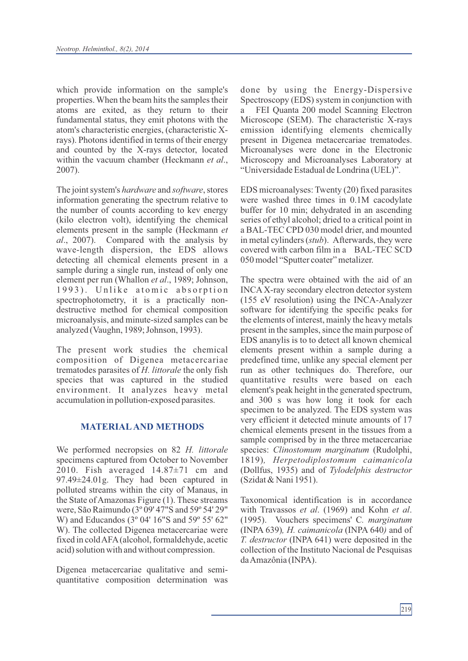which provide information on the sample's properties. When the beam hits the samples their atoms are exited, as they return to their fundamental status, they emit photons with the atom's characteristic energies, (characteristic Xrays). Photons identified in terms of their energy and counted by the X-rays detector, located within the vacuum chamber (Heckmann *et al*., 2007).

The joint system's *hardware* and *software*, stores information generating the spectrum relative to the number of counts according to kev energy (kilo electron volt), identifying the chemical elements present in the sample (Heckmann *et al*., 2007). Compared with the analysis by wave-length dispersion, the EDS allows detecting all chemical elements present in a sample during a single run, instead of only one element per run (Whallon *et al*., 1989; Johnson, 1993). Unlike atomic absorption spectrophotometry, it is a practically nondestructive method for chemical composition microanalysis, and minute-sized samples can be analyzed (Vaughn, 1989; Johnson, 1993).

The present work studies the chemical composition of Digenea metacercariae trematodes parasites of *H. littorale* the only fish species that was captured in the studied environment. It analyzes heavy metal accumulation in pollution-exposed parasites.

## **MATERIALAND METHODS**

We performed necropsies on 82 *H. littorale* specimens captured from October to November 2010. Fish averaged 14.87±71 cm and 97.49±24.01g. They had been captured in polluted streams within the city of Manaus, in the State of Amazonas Figure (1). These streams were, São Raimundo (3º 09' 47"S and 59º 54' 29" W) and Educandos (3º 04' 16"S and 59º 55' 62" W). The collected Digenea metacercariae were fixed in cold AFA(alcohol, formaldehyde, acetic acid) solution with and without compression.

Digenea metacercariae qualitative and semiquantitative composition determination was done by using the Energy-Dispersive Spectroscopy (EDS) system in conjunction with a FEI Quanta 200 model Scanning Electron Microscope (SEM). The characteristic X-rays emission identifying elements chemically present in Digenea metacercariae trematodes. Microanalyses were done in the Electronic Microscopy and Microanalyses Laboratory at "Universidade Estadual de Londrina (UEL)".

EDS microanalyses: Twenty (20) fixed parasites were washed three times in 0.1M cacodylate buffer for 10 min; dehydrated in an ascending series of ethyl alcohol; dried to a critical point in a BAL-TEC CPD 030 model drier, and mounted in metal cylinders (*stub*). Afterwards, they were covered with carbon film in a BAL-TEC SCD 050 model "Sputter coater" metalizer.

The spectra were obtained with the aid of an INCAX-ray secondary electron detector system (155 eV resolution) using the INCA-Analyzer software for identifying the specific peaks for the elements of interest, mainly the heavy metals present in the samples, since the main purpose of EDS ananylis is to to detect all known chemical elements present within a sample during a predefined time, unlike any special element per run as other techniques do. Therefore, our quantitative results were based on each element's peak height in the generated spectrum, and 300 s was how long it took for each specimen to be analyzed. The EDS system was very efficient it detected minute amounts of 17 chemical elements present in the tissues from a sample comprised by in the three metacercariae species: *Clinostomum marginatum* (Rudolphi, 1819)*, Herpetodiplostomum caimanicola* (Dollfus, 1935) and of *Tylodelphis destructor*  (Szidat & Nani 1951).

Taxonomical identification is in accordance with Travassos *et al*. (1969) and Kohn *et al*. (1995). Vouchers specimens' C*. marginatum*  (INPA 639)*, H. caimanicola* (INPA 640*)* and of *T. destructor* (INPA 641) were deposited in the collection of the Instituto Nacional de Pesquisas da Amazônia (INPA).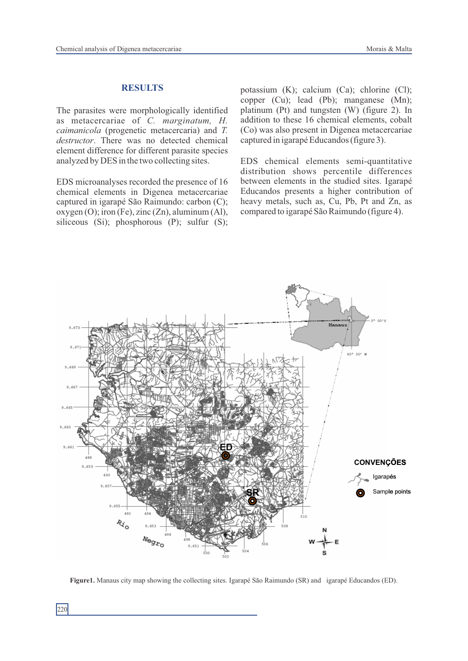#### **RESULTS**

The parasites were morphologically identified as metacercariae of *C. marginatum, H. caimanicola* (progenetic metacercaria) and *T. destructor*. There was no detected chemical element difference for different parasite species analyzed by DES in the two collecting sites.

EDS microanalyses recorded the presence of 16 chemical elements in Digenea metacercariae captured in igarapé São Raimundo: carbon (C); oxygen (O); iron (Fe), zinc (Zn), aluminum (Al), siliceous (Si); phosphorous (P); sulfur (S);

potassium (K); calcium (Ca); chlorine (Cl); copper (Cu); lead (Pb); manganese (Mn); platinum (Pt) and tungsten (W) (figure 2). In addition to these 16 chemical elements, cobalt (Co) was also present in Digenea metacercariae captured in igarapé Educandos (figure 3).

EDS chemical elements semi-quantitative distribution shows percentile differences between elements in the studied sites. Igarapé Educandos presents a higher contribution of heavy metals, such as, Cu, Pb, Pt and Zn, as compared to igarapé São Raimundo (figure 4).



**Figure1.** Manaus city map showing the collecting sites. Igarapé São Raimundo (SR) and igarapé Educandos (ED).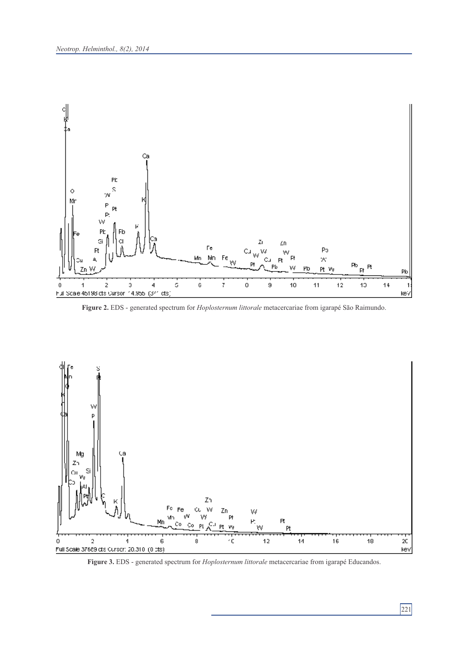

**Figure 2.** EDS - generated spectrum for *Hoplosternum littorale* metacercariae from igarapé São Raimundo.



**Figure 3.** EDS - generated spectrum for *Hoplosternum littorale* metacercariae from igarapé Educandos.

# 221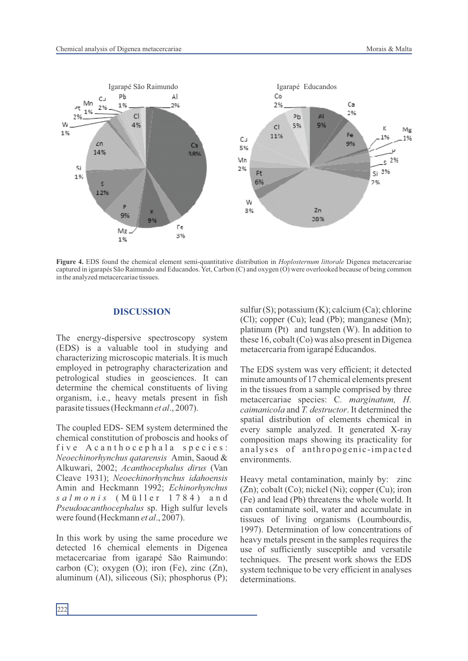

**Figure 4.** EDS found the chemical element semi-quantitative distribution in *Hoplosternum littorale* Digenea metacercariae captured in igarapés São Raimundo and Educandos. Yet, Carbon (C) and oxygen (O) were overlooked because of being common in the analyzed metacercariae tissues.

#### **DISCUSSION**

The energy-dispersive spectroscopy system (EDS) is a valuable tool in studying and characterizing microscopic materials. It is much employed in petrography characterization and petrological studies in geosciences. It can determine the chemical constituents of living organism, i.e., heavy metals present in fish parasite tissues (Heckmann *et al*., 2007).

The coupled EDS- SEM system determined the chemical constitution of proboscis and hooks of five A can tho cephala species: *Neoechinorhynchus qatarensis* Amin, Saoud & Alkuwari, 2002; *Acanthocephalus dirus* (Van Cleave 1931); *Neoechinorhynchus idahoensis* Amin and Heckmann 1992; *Echinorhynchus s a l m o n i s* ( M ü l l e r 1 7 8 4 ) a n d *Pseudoacanthocephalus* sp. High sulfur levels were found (Heckmann *et al*., 2007).

In this work by using the same procedure we detected 16 chemical elements in Digenea metacercariae from igarapé São Raimundo: carbon  $(C)$ ; oxygen  $(O)$ ; iron  $(Fe)$ , zinc  $(Zn)$ , aluminum (Al), siliceous (Si); phosphorus (P);

sulfur (S); potassium (K); calcium (Ca); chlorine (Cl); copper (Cu); lead (Pb); manganese (Mn); platinum (Pt) and tungsten (W). In addition to these 16, cobalt (Co) was also present in Digenea metacercaria from igarapé Educandos.

The EDS system was very efficient; it detected minute amounts of 17 chemical elements present in the tissues from a sample comprised by three metacercariae species: C*. marginatum, H. caimanicola* and *T. destructor*. It determined the spatial distribution of elements chemical in every sample analyzed. It generated X-ray composition maps showing its practicality for analyses of anthropogenic-impacted environments.

Heavy metal contamination, mainly by: zinc (Zn); cobalt (Co); nickel (Ni); copper (Cu); iron (Fe) and lead (Pb) threatens the whole world. It can contaminate soil, water and accumulate in tissues of living organisms (Loumbourdis, 1997). Determination of low concentrations of heavy metals present in the samples requires the use of sufficiently susceptible and versatile techniques. The present work shows the EDS system technique to be very efficient in analyses determinations.

 $|_{222}$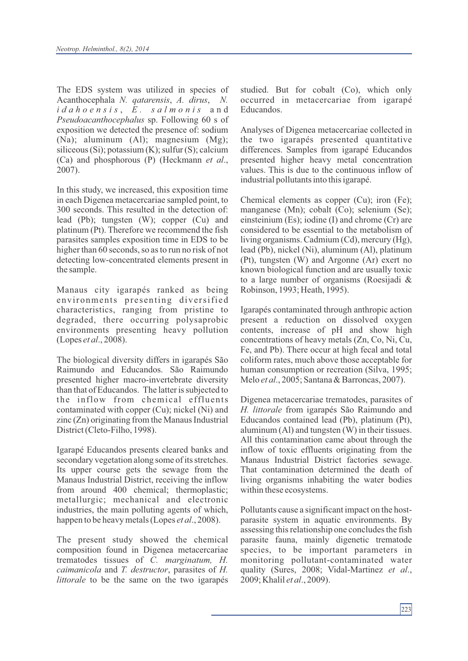The EDS system was utilized in species of Acanthocephala *N. qatarensis*, *A. dirus*, *N. i d a h o e n s i s* , *E . s a l m o n i s* a n d *Pseudoacanthocephalus* sp. Following 60 s of exposition we detected the presence of: sodium (Na); aluminum (Al); magnesium (Mg); siliceous (Si); potassium (K); sulfur (S); calcium (Ca) and phosphorous (P) (Heckmann *et al*., 2007).

In this study, we increased, this exposition time in each Digenea metacercariae sampled point, to 300 seconds. This resulted in the detection of: lead (Pb); tungsten (W); copper (Cu) and platinum (Pt). Therefore we recommend the fish parasites samples exposition time in EDS to be higher than 60 seconds, so as to run no risk of not detecting low-concentrated elements present in the sample.

Manaus city igarapés ranked as being environments presenting diversified characteristics, ranging from pristine to degraded, there occurring polysaprobic environments presenting heavy pollution (Lopes *et al*., 2008).

The biological diversity differs in igarapés São Raimundo and Educandos. São Raimundo presented higher macro-invertebrate diversity than that of Educandos. The latter is subjected to the inflow from chemical effluents contaminated with copper (Cu); nickel (Ni) and zinc (Zn) originating from the Manaus Industrial District (Cleto-Filho, 1998).

Igarapé Educandos presents cleared banks and secondary vegetation along some of its stretches. Its upper course gets the sewage from the Manaus Industrial District, receiving the inflow from around 400 chemical; thermoplastic; metallurgic; mechanical and electronic industries, the main polluting agents of which, happen to be heavy metals (Lopes *et al*., 2008).

The present study showed the chemical composition found in Digenea metacercariae trematodes tissues of *C. marginatum, H. caimanicola* and *T. destructor*, parasites of *H. littorale* to be the same on the two igarapés

studied. But for cobalt (Co), which only occurred in metacercariae from igarapé Educandos.

Analyses of Digenea metacercariae collected in the two igarapés presented quantitative differences. Samples from igarapé Educandos presented higher heavy metal concentration values. This is due to the continuous inflow of industrial pollutants into this igarapé.

Chemical elements as copper (Cu); iron (Fe); manganese (Mn); cobalt (Co); selenium (Se); einsteinium (Es); iodine (I) and chrome (Cr) are considered to be essential to the metabolism of living organisms. Cadmium (Cd), mercury (Hg), lead (Pb), nickel (Ni), aluminum (Al), platinum (Pt), tungsten (W) and Argonne (Ar) exert no known biological function and are usually toxic to a large number of organisms (Roesijadi & Robinson, 1993; Heath, 1995).

Igarapés contaminated through anthropic action present a reduction on dissolved oxygen contents, increase of pH and show high concentrations of heavy metals (Zn, Co, Ni, Cu, Fe, and Pb). There occur at high fecal and total coliform rates, much above those acceptable for human consumption or recreation (Silva, 1995; Melo *et al*., 2005; Santana & Barroncas, 2007).

Digenea metacercariae trematodes, parasites of *H. littorale* from igarapés São Raimundo and Educandos contained lead (Pb), platinum (Pt), aluminum (Al) and tungsten (W) in their tissues. All this contamination came about through the inflow of toxic effluents originating from the Manaus Industrial District factories sewage. That contamination determined the death of living organisms inhabiting the water bodies within these ecosystems.

Pollutants cause a significant impact on the hostparasite system in aquatic environments. By assessing this relationship one concludes the fish parasite fauna, mainly digenetic trematode species, to be important parameters in monitoring pollutant-contaminated water quality (Sures, 2008; Vidal-Martinez *et al*., 2009; Khalil *et al*., 2009).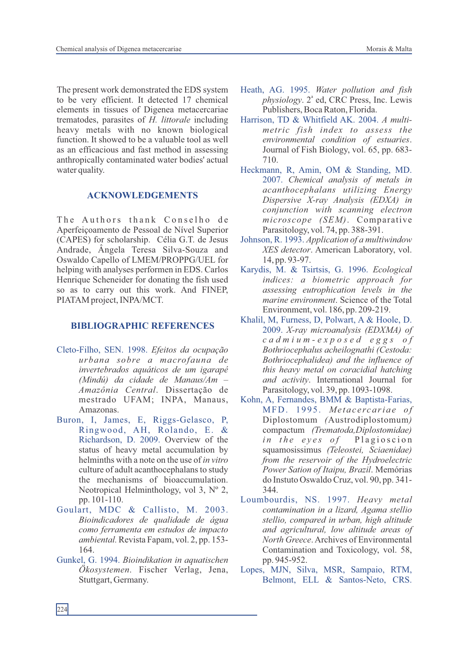The present work demonstrated the EDS system to be very efficient. It detected 17 chemical elements in tissues of Digenea metacercariae trematodes, parasites of *H. littorale* including heavy metals with no known biological function. It showed to be a valuable tool as well as an efficacious and fast method in assessing anthropically contaminated water bodies' actual water quality.

## **ACKNOWLEDGEMENTS**

The Authors thank Conselho de Aperfeiçoamento de Pessoal de Nível Superior (CAPES) for scholarship. Célia G.T. de Jesus Andrade, Ângela Teresa Silva-Souza and Oswaldo Capello of LMEM/PROPPG/UEL for helping with analyses performen in EDS. Carlos Henrique Scheneider for donating the fish used so as to carry out this work. And FINEP, PIATAM project, INPA/MCT.

#### **BIBLIOGRAPHIC REFERENCES**

- Cleto-Filho, SEN. 1998. *Efeitos da ocupação urbana sobre a macrofauna de invertebrados aquáticos de um igarapé (Mindú) da cidade de Manaus/Am – Amazônia Central*. Dissertação de mestrado UFAM; INPA, Manaus, Amazonas.
- Buron, I, James, E, Riggs-Gelasco, P, Ringwood, AH, Rolando, E. & Richardson, D. 2009. Overview of the status of heavy metal accumulation by helminths with a note on the use of *in vitro*  culture of adult acanthocephalans to study the mechanisms of bioaccumulation. Neotropical Helminthology, vol 3, Nº 2, pp. 101-110.
- Goulart, MDC & Callisto, M. 2003. *Bioindicadores de qualidade de água como ferramenta em estudos de impacto ambiental.* Revista Fapam, vol. 2, pp. 153- 164.
- Gunkel, G. 1994. *Bioindikation in aquatischen Ökosystemen*. Fischer Verlag, Jena, Stuttgart, Germany.
- Heath, AG. 1995. *Water pollution and fish*  physiology. 2<sup>ª</sup> ed, CRC Press, Inc. Lewis Publishers, Boca Raton, Florida.
- Harrison, TD & Whitfield AK. 2004. *A multimetric fish index to assess the environmental condition of estuaries*. Journal of Fish Biology, vol. 65, pp. 683- 710.
- Heckmann, R, Amin, OM & Standing, MD. 2007. *Chemical analysis of metals in acanthocephalans utilizing Energy Dispersive X-ray Analysis (EDXA) in conjunction with scanning electron microscope (SEM)*. Comparative Parasitology, vol. 74, pp. 388-391.
- Johnson, R. 1993. *Application of a multiwindow XES detector*. American Laboratory, vol. 14, pp. 93-97.
- Karydis, M. & Tsirtsis, G. 1996. *Ecological indices: a biometric approach for assessing eutrophication levels in the marine environment*. Science of the Total Environment, vol. 186, pp. 209-219.
- Khalil, M, Furness, D, Polwart, A & Hoole, D. 2009. *X-ray microanalysis (EDXMA) of c a d m i u m - e x p o s e d e g g s o f Bothriocephalus acheilognathi (Cestoda: Bothriocephalidea) and the influence of this heavy metal on coracidial hatching and activity*. International Journal for Parasitology, vol. 39, pp. 1093-1098.
- Kohn, A, Fernandes, BMM & Baptista-Farias, MFD. 1995. Metacercariae of Diplostomum *(*Austrodiplostomum*)* compactum *(Trematoda,Diplostomidae) in the eyes of* Plagioscion squamosissimus *(Teleostei, Sciaenidae) from the reservoir of the Hydroelectric Power Sation of Itaipu, Brazil*. Memórias do Instuto Oswaldo Cruz, vol. 90, pp. 341- 344.
- Loumbourdis, NS. 1997. *Heavy metal contamination in a lizard, Agama stellio stellio, compared in urban, high altitude and agricultural, low altitude areas of North Greece*. Archives of Environmental Contamination and Toxicology, vol. 58, pp. 945-952.
- Lopes, MJN, Silva, MSR, Sampaio, RTM, Belmont, ELL & Santos-Neto, CRS.